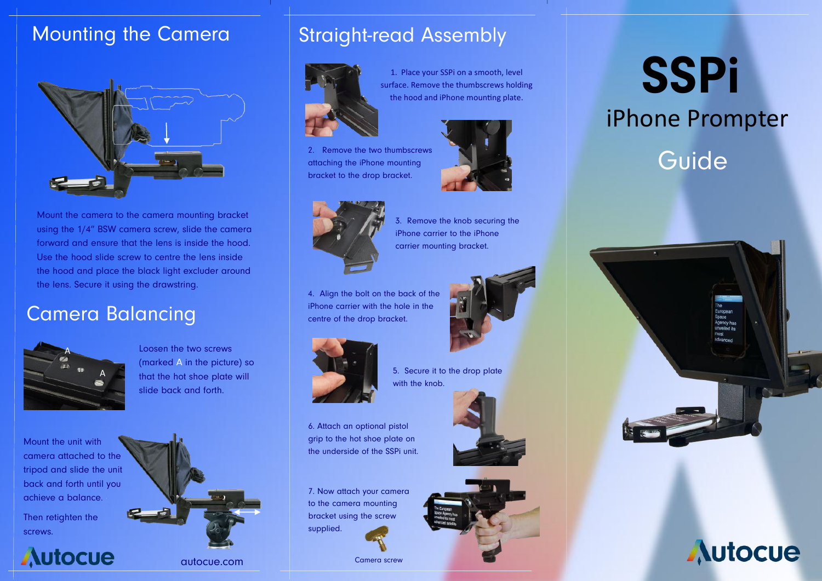#### Mounting the Camera



Mount the camera to the camera mounting bracket using the 1/4" BSW camera screw, slide the camera forward and ensure that the lens is inside the hood. Use the hood slide screw to centre the lens inside the hood and place the black light excluder around the lens. Secure it using the drawstring.

#### Camera Balancing



Loosen the two screws (marked A in the picture) so that the hot shoe plate will slide back and forth.

Mount the unit with camera attached to the tripod and slide the unit back and forth until you achieve a balance.

Then retighten the screws.



### Straight-read Assembly



1. Place your SSPi on a smooth, level surface. Remove the thumbscrews holding the hood and iPhone mounting plate.







3. Remove the knob securing the iPhone carrier to the iPhone carrier mounting bracket.

4. Align the bolt on the back of the iPhone carrier with the hole in the centre of the drop bracket.



5. Secure it to the drop plate with the knob.

6. Attach an optional pistol grip to the hot shoe plate on the underside of the SSPi unit.

7. Now attach your camera to the camera mounting bracket using the screw supplied.

Camera screw





**SSPi** iPhone Prompter

## Guide





autocue.com